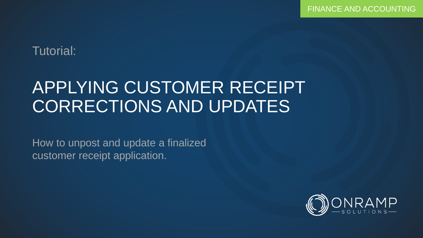### Tutorial:

# APPLYING CUSTOMER RECEIPT CORRECTIONS AND UPDATES

How to unpost and update a finalized customer receipt application.

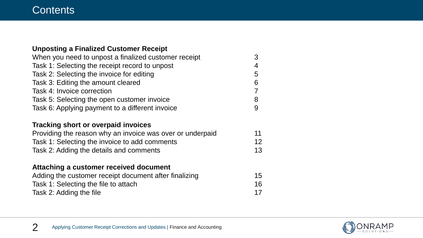#### **Contents**

| <b>Unposting a Finalized Customer Receipt</b>             |                |
|-----------------------------------------------------------|----------------|
| When you need to unpost a finalized customer receipt      | 3              |
| Task 1: Selecting the receipt record to unpost            | $\overline{4}$ |
| Task 2: Selecting the invoice for editing                 | 5              |
| Task 3: Editing the amount cleared                        | 6              |
| Task 4: Invoice correction                                | $\overline{7}$ |
| Task 5: Selecting the open customer invoice               | 8              |
| Task 6: Applying payment to a different invoice           | 9              |
| <b>Tracking short or overpaid invoices</b>                |                |
| Providing the reason why an invoice was over or underpaid | 11             |
| Task 1: Selecting the invoice to add comments             | 12             |
| Task 2: Adding the details and comments                   | 13             |
| Attaching a customer received document                    |                |
| Adding the customer receipt document after finalizing     | 15             |
| Task 1: Selecting the file to attach                      | 16             |
| Task 2: Adding the file                                   | 17             |

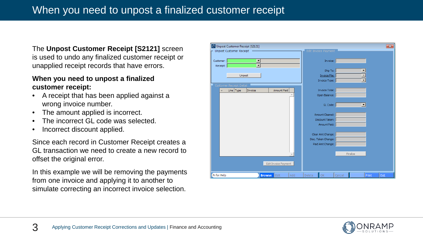The **Unpost Customer Receipt [S2121]** screen is used to undo any finalized customer receipt or unapplied receipt records that have errors.

#### **When you need to unpost a finalized customer receipt:**

- A receipt that has been applied against a wrong invoice number.
- The amount applied is incorrect.
- The incorrect GL code was selected.
- Incorrect discount applied.

Since each record in Customer Receipt creates a GL transaction we need to create a new record to offset the original error.

In this example we will be removing the payments from one invoice and applying it to another to simulate correcting an incorrect invoice selection.

| Unpost Customer Receipt [S2121]             |        |                       |        |                         |       | $\mathbf{x}$ |
|---------------------------------------------|--------|-----------------------|--------|-------------------------|-------|--------------|
| Unpost Customer Receipt                     |        | Edit Invoice Payment  |        |                         |       |              |
|                                             |        |                       |        |                         |       |              |
| $\blacktriangledown$<br>Customer:           |        | Invoice:              |        |                         |       |              |
| $\blacksquare$<br>Receipt:                  |        |                       |        |                         |       |              |
|                                             |        | Ship To:              |        |                         |       |              |
| Unpost                                      |        | <b>Invoice File:</b>  |        |                         |       |              |
|                                             |        | Invoice Type:         |        | $\blacktriangledown$    |       |              |
| Customer Receipt Detail                     |        |                       |        |                         |       |              |
| Amount Paid<br>Line Type<br>Invoice         |        | <b>Invoice Total:</b> |        |                         |       |              |
|                                             |        | Open Balance:         |        |                         |       |              |
|                                             |        |                       |        |                         |       |              |
|                                             |        | GL Code:              |        | $\vert \bm{\tau} \vert$ |       |              |
|                                             |        |                       |        |                         |       |              |
|                                             |        | Amount Cleared:       |        |                         |       |              |
|                                             |        | Discount Taken:       |        |                         |       |              |
|                                             |        | Amount Paid:          |        |                         |       |              |
|                                             |        |                       |        |                         |       |              |
|                                             |        | Clear Amt Change:     |        |                         |       |              |
|                                             |        | Disc. Taken Change:   |        |                         |       |              |
|                                             |        | Paid Amt Change:      |        |                         |       |              |
|                                             |        |                       |        |                         |       |              |
|                                             |        |                       |        | Finalize                |       |              |
|                                             |        |                       |        |                         |       |              |
| Edit Invoice Payment                        |        |                       |        |                         |       |              |
|                                             |        |                       |        |                         |       |              |
| F1 for Help<br><b>Browse</b><br>Edit<br>Add | Delete | OK                    | Cancel |                         | Print | Exit         |

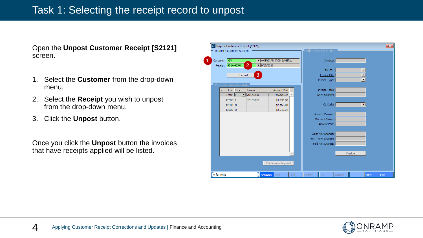#### Task 1: Selecting the receipt record to unpost

Open the **Unpost Customer Receipt [S2121]**  screen.

- 1. Select the **Customer** from the drop-down menu.
- 2. Select the **Receipt** you wish to unpost from the drop-down menu.
- 3. Click the **Unpost** button.

Once you click the **Unpost** button the invoices that have receipts applied will be listed.

| Customer: AIM                  |           |                          | MERICAN IRON & METAL |  | Invoice:                           |          |  |
|--------------------------------|-----------|--------------------------|----------------------|--|------------------------------------|----------|--|
| Receipt: 4514-46348            |           | 2<br>$\frac{9}{15/2016}$ |                      |  |                                    |          |  |
|                                |           |                          |                      |  | Ship To:                           |          |  |
|                                | Unpost    | 3                        |                      |  | <b>Invoice File:</b>               |          |  |
|                                |           |                          |                      |  | Invoice Type:                      |          |  |
| <b>Customer Receipt Detail</b> |           |                          |                      |  |                                    |          |  |
|                                | Line Type | Invoice                  | Amount Paid          |  | <b>Invoice Total:</b>              |          |  |
| 12504 I                        |           | $\mathbf{V}$ 20120598    | \$9,880.36           |  | Open Balance:                      |          |  |
| $12505$ I                      |           | 20133143                 | \$4,935.60           |  |                                    |          |  |
| $12508$ N                      |           |                          | \$2,165.00           |  | GL Code:                           | ▾        |  |
| 12509 U                        |           |                          | \$3,019.04           |  |                                    |          |  |
|                                |           |                          |                      |  | Amount Cleared:<br>Discount Taken: |          |  |
|                                |           |                          |                      |  | Amount Paid:                       |          |  |
|                                |           |                          |                      |  |                                    |          |  |
|                                |           |                          |                      |  | Clear Amt Change:                  |          |  |
|                                |           |                          |                      |  | Disc. Taken Change:                |          |  |
|                                |           |                          |                      |  | Paid Amt Change:                   |          |  |
|                                |           |                          |                      |  |                                    |          |  |
|                                |           |                          |                      |  |                                    | Finalize |  |
|                                |           |                          |                      |  |                                    |          |  |
|                                |           |                          | Edit Invoice Payment |  |                                    |          |  |

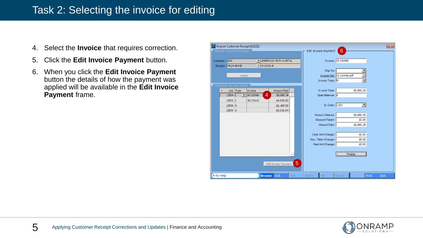### Task 2: Selecting the invoice for editing

- 4. Select the **Invoice** that requires correction.
- 5. Click the **Edit Invoice Payment** button.
- 6. When you click the **Edit Invoice Payment**  button the details of how the payment was applied will be available in the **Edit Invoice Payment** frame.



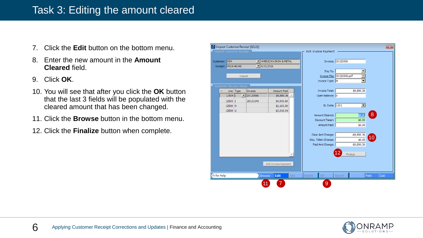#### Task 3: Editing the amount cleared

- 7. Click the **Edit** button on the bottom menu.
- 8. Enter the new amount in the **Amount Cleared** field.
- 9. Click **OK**.
- 10. You will see that after you click the **OK** button that the last 3 fields will be populated with the cleared amount that has been changed.
- 11. Click the **Browse** button in the bottom menu.
- 12. Click the **Finalize** button when complete.



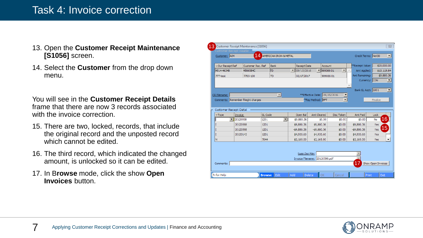#### Task 4: Invoice correction

- 13. Open the **Customer Receipt Maintenance [S1056]** screen.
- 14. Select the **Customer** from the drop down menu.

You will see in the **Customer Receipt Details**  frame that there are now 3 records associated with the invoice correction.

- 15. There are two, locked, records, that include the original record and the unposted record which cannot be edited.
- 16. The third record, which indicated the changed amount, is unlocked so it can be edited.
- 17. In B**rowse** mode, click the show **Open Invoices** button.

| $\mathbf{F}$  98906601<br>4566584C<br><b>TD</b><br>$\boxed{\blacksquare}$ 09/15/2016<br>4514-46348<br>$\overline{\phantom{a}}$<br>Amt Applied:<br>Amt Remaining:<br><b>TD</b><br>02/17/2017<br>98906601<br>777-test<br>7765-100<br>Currency: CDN<br>$\vert \nabla \vert$<br>**Effective Date: 09/15/2016<br>CR Filename:<br>$\blacktriangledown$<br>$\overline{\phantom{a}}$<br>Comments: Remember frieght charges<br><sup>**</sup> Pay Method: EFT<br>Customer Receipt Detail<br>GL Code<br>Open Bal<br><b>Disc Taken</b><br>Amt Paid<br>Amt Cleared<br>$\nabla$ Type<br>Invoice<br>$\overline{\phantom{a}}$<br>20120598<br>1201<br>$\blacktriangledown$<br>\$9,880.36<br>\$0.00<br>\$0.00<br>\$0.00<br>No<br>1201<br>\$9,880.36<br>\$9,880.36<br>20120598<br>\$9,880.36<br>\$0.00<br>I<br>T<br>20120598<br>1201<br>$-59,880,36$<br>$-$9,880.36$<br>$-59,880,36$<br>\$0.00 | \$10,119.64<br>\$9,880.36<br>Bank GL Acct: 1001<br>Finalize<br>Lock<br>16<br>Yes | 15<br>Yes<br>1201<br>Yes<br>20133143<br>\$4,935.60<br>\$4,935.60<br>\$0.00<br>\$4,935.60 |  | Our Receipt Ref | Customer Rec. Ref<br><b>Bank</b> | <b>Receipt Date</b> | Account | **Receipt Value: | \$20,000.00 |
|-----------------------------------------------------------------------------------------------------------------------------------------------------------------------------------------------------------------------------------------------------------------------------------------------------------------------------------------------------------------------------------------------------------------------------------------------------------------------------------------------------------------------------------------------------------------------------------------------------------------------------------------------------------------------------------------------------------------------------------------------------------------------------------------------------------------------------------------------------------------------------|----------------------------------------------------------------------------------|------------------------------------------------------------------------------------------|--|-----------------|----------------------------------|---------------------|---------|------------------|-------------|
|                                                                                                                                                                                                                                                                                                                                                                                                                                                                                                                                                                                                                                                                                                                                                                                                                                                                             |                                                                                  |                                                                                          |  |                 |                                  |                     |         |                  |             |
|                                                                                                                                                                                                                                                                                                                                                                                                                                                                                                                                                                                                                                                                                                                                                                                                                                                                             |                                                                                  |                                                                                          |  |                 |                                  |                     |         |                  |             |
|                                                                                                                                                                                                                                                                                                                                                                                                                                                                                                                                                                                                                                                                                                                                                                                                                                                                             |                                                                                  |                                                                                          |  |                 |                                  |                     |         |                  |             |
|                                                                                                                                                                                                                                                                                                                                                                                                                                                                                                                                                                                                                                                                                                                                                                                                                                                                             |                                                                                  |                                                                                          |  |                 |                                  |                     |         |                  |             |
|                                                                                                                                                                                                                                                                                                                                                                                                                                                                                                                                                                                                                                                                                                                                                                                                                                                                             |                                                                                  |                                                                                          |  |                 |                                  |                     |         |                  |             |
|                                                                                                                                                                                                                                                                                                                                                                                                                                                                                                                                                                                                                                                                                                                                                                                                                                                                             |                                                                                  |                                                                                          |  |                 |                                  |                     |         |                  |             |
|                                                                                                                                                                                                                                                                                                                                                                                                                                                                                                                                                                                                                                                                                                                                                                                                                                                                             |                                                                                  |                                                                                          |  |                 |                                  |                     |         |                  |             |
|                                                                                                                                                                                                                                                                                                                                                                                                                                                                                                                                                                                                                                                                                                                                                                                                                                                                             |                                                                                  |                                                                                          |  |                 |                                  |                     |         |                  |             |
|                                                                                                                                                                                                                                                                                                                                                                                                                                                                                                                                                                                                                                                                                                                                                                                                                                                                             |                                                                                  |                                                                                          |  |                 |                                  |                     |         |                  |             |
|                                                                                                                                                                                                                                                                                                                                                                                                                                                                                                                                                                                                                                                                                                                                                                                                                                                                             |                                                                                  |                                                                                          |  |                 |                                  |                     |         |                  |             |
|                                                                                                                                                                                                                                                                                                                                                                                                                                                                                                                                                                                                                                                                                                                                                                                                                                                                             |                                                                                  |                                                                                          |  |                 |                                  |                     |         |                  |             |
|                                                                                                                                                                                                                                                                                                                                                                                                                                                                                                                                                                                                                                                                                                                                                                                                                                                                             |                                                                                  |                                                                                          |  |                 |                                  |                     |         |                  |             |
|                                                                                                                                                                                                                                                                                                                                                                                                                                                                                                                                                                                                                                                                                                                                                                                                                                                                             |                                                                                  |                                                                                          |  |                 |                                  |                     |         |                  |             |
| I                                                                                                                                                                                                                                                                                                                                                                                                                                                                                                                                                                                                                                                                                                                                                                                                                                                                           |                                                                                  |                                                                                          |  |                 |                                  |                     |         |                  |             |
| N<br>7044<br>\$2,165.00<br>\$2,165.00<br>\$0.00<br>\$2,165.00                                                                                                                                                                                                                                                                                                                                                                                                                                                                                                                                                                                                                                                                                                                                                                                                               |                                                                                  | Yes                                                                                      |  |                 |                                  |                     |         |                  |             |
|                                                                                                                                                                                                                                                                                                                                                                                                                                                                                                                                                                                                                                                                                                                                                                                                                                                                             |                                                                                  |                                                                                          |  |                 |                                  |                     |         |                  |             |
|                                                                                                                                                                                                                                                                                                                                                                                                                                                                                                                                                                                                                                                                                                                                                                                                                                                                             |                                                                                  |                                                                                          |  |                 |                                  |                     |         |                  |             |
|                                                                                                                                                                                                                                                                                                                                                                                                                                                                                                                                                                                                                                                                                                                                                                                                                                                                             |                                                                                  |                                                                                          |  |                 |                                  |                     |         |                  |             |
| Supp.Doc File:                                                                                                                                                                                                                                                                                                                                                                                                                                                                                                                                                                                                                                                                                                                                                                                                                                                              |                                                                                  |                                                                                          |  |                 |                                  |                     |         |                  |             |

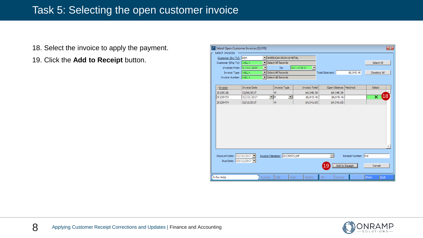#### Task 5: Selecting the open customer invoice

- 18. Select the invoice to apply the payment.
- 19. Click the **Add to Receipt** button.

| Select Open Customer Invoices [S1570]             |                     |                      |                                          |                                    |                        |                                       |                         | $\mathbf{x}$ |
|---------------------------------------------------|---------------------|----------------------|------------------------------------------|------------------------------------|------------------------|---------------------------------------|-------------------------|--------------|
| Select Invoices                                   |                     |                      |                                          |                                    |                        |                                       |                         |              |
| Customer (Inv To): AIM                            |                     |                      | IN AMERICAN IRON & METAL                 |                                    |                        |                                       |                         |              |
| Customer (Ship To): <all></all>                   |                     |                      | $\blacktriangleright$ Select All Records |                                    |                        |                                       | Select All              |              |
| Invoices From: 01/01/2000                         |                     | $\blacktriangledown$ | To:                                      | 02/17/2017<br>▼                    |                        |                                       |                         |              |
| Invoice Type: <all></all>                         |                     |                      | $\blacktriangleright$ Select All Records |                                    | <b>Total Selected:</b> | \$8,845.46                            | Deselect All            |              |
| Invoice Number: <all></all>                       |                     |                      | $\blacktriangleright$ Select All Records |                                    |                        |                                       |                         |              |
|                                                   |                     |                      |                                          |                                    |                        |                                       |                         |              |
| $\overline{\mathbf{v}}$ Invoice                   | <b>Invoice Date</b> |                      | <b>Invoice Type</b>                      | <b>Invoice Total</b>               | Open Balance   Matched |                                       | Select                  |              |
| 20139126                                          | 02/06/2017          |                      | M                                        | \$4,348.39                         | \$4,348.39             |                                       |                         |              |
| 20139473                                          | 02/10/2017          |                      | ▼IM                                      | $\blacktriangledown$<br>\$8,845.46 | \$8,845.46             |                                       | $\overline{\mathsf{x}}$ | 18           |
| 20139474                                          | 02/10/2017          |                      | M                                        | \$4,341.65                         | \$4,341.65             |                                       |                         |              |
|                                                   |                     |                      |                                          |                                    |                        |                                       |                         |              |
| Discount Date: 02/10/2017<br>Due Date: 03/12/2017 |                     |                      | Invoice Filename: 20139473.pdf           |                                    | 19                     | Receipt Number: hre<br>Add to Receipt | Cancel                  |              |
| Fi for Help                                       |                     | Browse               | Edit                                     | Add<br>Delete                      | OK<br>Cancel           |                                       | Exit<br>Print           |              |

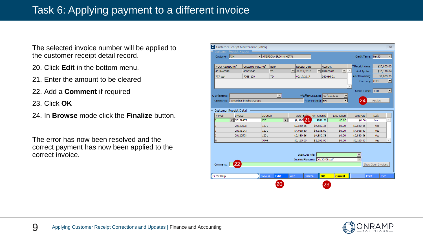### Task 6: Applying payment to a different invoice

The selected invoice number will be applied to the customer receipt detail record.

- 20. Click **Edit** in the bottom menu.
- 21. Enter the amount to be cleared
- 22. Add a **Comment** if required
- 23. Click **OK**
- 24. In **Browse** mode click the **Finalize** button.

The error has now been resolved and the correct payment has now been applied to the correct invoice.

| 4514-46348<br>777-test             | 4566584C<br>7765-100    | <b>TD</b>      |                          |                                   |                                |                 |                    |                    |   |
|------------------------------------|-------------------------|----------------|--------------------------|-----------------------------------|--------------------------------|-----------------|--------------------|--------------------|---|
|                                    |                         |                |                          | $\boxed{\blacksquare}$ 09/15/2016 | ▼                              | 198906601<br>−∥ | Amt Applied:       | \$10,119.64        |   |
|                                    |                         |                | <b>TD</b>                | 02/17/2017                        |                                | 98906601        | Amt Remaining:     | \$9,880.36         |   |
|                                    |                         |                |                          |                                   |                                |                 |                    | Currency: CDN      | ⊡ |
|                                    |                         |                |                          |                                   |                                |                 |                    |                    |   |
|                                    |                         |                |                          |                                   |                                |                 | Bank GL Acct: 1001 |                    | ⊡ |
| CR Filename:                       |                         |                | $\overline{\mathcal{A}}$ |                                   | **Effective Date: 09/15/2016   |                 |                    |                    |   |
| Comments: Remember frieght charges |                         |                |                          |                                   | <sup>**</sup> Pay Method: EFT  | ▼               | 24                 | Finalize           |   |
|                                    |                         |                |                          |                                   |                                |                 |                    |                    |   |
| Customer Receipt Detail            |                         |                |                          |                                   |                                |                 |                    |                    |   |
| $-Type$                            | Invoice                 | <b>GL</b> Code |                          | Open Ball                         | Amt Cleared                    | Disc Taken      | Amt Paid           | Lock               |   |
| IT.                                | $\blacksquare$ 20139473 | 1201           | $\vert \mathbf{v} \vert$ | \$9,880.21                        | 9880.36                        | \$0.00          | \$0.00             | No                 |   |
| I                                  | 20120598                | 1201           |                          | \$9,880.36                        | \$9,880.36                     | \$0.00          | \$9,880.36         | Yes                |   |
| I                                  | 20133143                | 1201           |                          | \$4,935.60                        | \$4,935.60                     | \$0.00          | \$4,935.60         | Yes                |   |
| I                                  | 20120598                | 1201           |                          | $-59,880.36$                      | $-59,880.36$                   | \$0.00          | $-$9,880.36$       | Yes                |   |
| N                                  |                         | 7044           |                          | \$2,165.00                        | \$2,165.00                     | \$0.00          | \$2,165.00         | Yes                |   |
|                                    |                         |                |                          |                                   |                                |                 |                    |                    |   |
|                                    |                         |                |                          |                                   |                                |                 |                    |                    |   |
|                                    |                         |                |                          | Supp.Doc File:                    |                                |                 |                    |                    |   |
|                                    |                         |                |                          |                                   | Invoice Filename: 20120598.pdf |                 |                    |                    |   |
|                                    |                         |                |                          |                                   |                                |                 |                    |                    |   |
| Comments:                          | 22                      |                |                          |                                   |                                |                 |                    | Show Open Invoices |   |

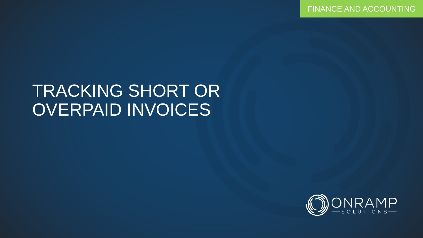FINANCE AND ACCOUNTING

## TRACKING SHORT OR OVERPAID INVOICES

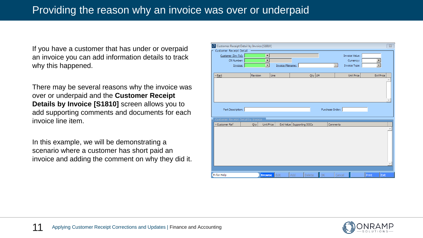If you have a customer that has under or overpaid an invoice you can add information details to track why this happened.

There may be several reasons why the invoice was over or underpaid and the **Customer Receipt Details by Invoice [S1810]** screen allows you to add supporting comments and documents for each invoice line item.

In this example, we will be demonstrating a scenario where a customer has short paid an invoice and adding the comment on why they did it.

| Customer Receipt Detail<br>Customer (Inv To):<br>Invoice Value:<br>⊡<br>$\overline{ }$<br>CR Number:<br>Currency:<br>$\overline{\phantom{a}}$<br>Invoice Filename:<br>$\overline{\Psi}$<br>Invoice Type:<br>Invoice:<br>Qty UM<br>Line<br>Revision<br>Unit Price<br>Ext Price<br>$\neg$ <u>Part</u> |  |
|-----------------------------------------------------------------------------------------------------------------------------------------------------------------------------------------------------------------------------------------------------------------------------------------------------|--|
|                                                                                                                                                                                                                                                                                                     |  |
|                                                                                                                                                                                                                                                                                                     |  |
|                                                                                                                                                                                                                                                                                                     |  |
|                                                                                                                                                                                                                                                                                                     |  |
|                                                                                                                                                                                                                                                                                                     |  |
|                                                                                                                                                                                                                                                                                                     |  |
|                                                                                                                                                                                                                                                                                                     |  |
|                                                                                                                                                                                                                                                                                                     |  |
|                                                                                                                                                                                                                                                                                                     |  |
|                                                                                                                                                                                                                                                                                                     |  |
|                                                                                                                                                                                                                                                                                                     |  |
|                                                                                                                                                                                                                                                                                                     |  |
| Purchase Order:<br>Part Description:                                                                                                                                                                                                                                                                |  |
|                                                                                                                                                                                                                                                                                                     |  |
| Customer Receipt Detail by Invoice                                                                                                                                                                                                                                                                  |  |
| Ext Value Supporting DOCs<br>Comments<br>Customer Ref<br>Unit Price<br>Qty                                                                                                                                                                                                                          |  |
|                                                                                                                                                                                                                                                                                                     |  |
|                                                                                                                                                                                                                                                                                                     |  |
|                                                                                                                                                                                                                                                                                                     |  |
|                                                                                                                                                                                                                                                                                                     |  |
|                                                                                                                                                                                                                                                                                                     |  |
|                                                                                                                                                                                                                                                                                                     |  |
|                                                                                                                                                                                                                                                                                                     |  |
|                                                                                                                                                                                                                                                                                                     |  |
|                                                                                                                                                                                                                                                                                                     |  |
|                                                                                                                                                                                                                                                                                                     |  |

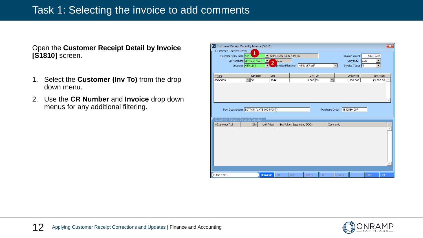#### Task 1: Selecting the invoice to add comments

Open the **Customer Receipt Detail by Invoice [S1810]** screen.

- 1. Select the **Customer (Inv To)** from the drop down menu.
- 2. Use the **CR Number** and **Invoice** drop down menus for any additional filtering.

|                                           |                                                                                                                                      | Customer Receipt Detail by Invoice [S1810] |                          |                               |    |                      |                             |            | $\overline{\mathbf{x}}$ |
|-------------------------------------------|--------------------------------------------------------------------------------------------------------------------------------------|--------------------------------------------|--------------------------|-------------------------------|----|----------------------|-----------------------------|------------|-------------------------|
| Customer Receipt Detail                   |                                                                                                                                      |                                            |                          |                               |    |                      |                             |            |                         |
| Customer (Inv To): AIM                    |                                                                                                                                      |                                            | IN AMERICAN IRON & METAL |                               |    |                      | Invoice Value:              | \$3,019.04 |                         |
|                                           | CR Number: UN-4514-456                                                                                                               |                                            | 2016                     |                               |    |                      | Currency: CDN               |            |                         |
|                                           | Invoice: MEM1157                                                                                                                     | 4<br>Н                                     |                          | Invoice Filename: MEM1157.pdf |    | $\vert \vert$        | Invoice Type: M             |            |                         |
|                                           |                                                                                                                                      |                                            |                          |                               |    |                      |                             |            |                         |
| $\neg Part$                               | Revision                                                                                                                             | Line                                       |                          | Qty UM                        |    |                      | <b>Unit Price</b>           |            | <b>Ext Price</b>        |
| 000-0006                                  | $\overline{\phantom{0}}$   $\overline{\phantom{0}}$   $\overline{\phantom{0}}$   $\overline{\phantom{0}}$   $\overline{\phantom{0}}$ | 1644                                       |                          | 3.000 EA                      |    | $\blacktriangledown$ | 1,000.000                   |            | \$3,000.00              |
|                                           |                                                                                                                                      |                                            |                          |                               |    |                      |                             |            |                         |
|                                           |                                                                                                                                      |                                            |                          |                               |    |                      |                             |            |                         |
|                                           |                                                                                                                                      |                                            |                          |                               |    |                      |                             |            |                         |
|                                           |                                                                                                                                      |                                            |                          |                               |    |                      |                             |            |                         |
|                                           |                                                                                                                                      |                                            |                          |                               |    |                      |                             |            |                         |
| Part Description: BOTTOM PLATE (NO PAINT) |                                                                                                                                      |                                            |                          |                               |    |                      | Purchase Order: 6859860-007 |            |                         |
|                                           |                                                                                                                                      |                                            |                          |                               |    |                      |                             |            |                         |
|                                           |                                                                                                                                      |                                            |                          |                               |    |                      |                             |            |                         |
| Customer Receipt Detail by Invoice        |                                                                                                                                      |                                            |                          |                               |    |                      |                             |            |                         |
| Customer Ref                              | Qty                                                                                                                                  | <b>Unit Price</b>                          |                          | Ext Value Supporting DOCs     |    | Comments             |                             |            |                         |
|                                           |                                                                                                                                      |                                            |                          |                               |    |                      |                             |            |                         |
|                                           |                                                                                                                                      |                                            |                          |                               |    |                      |                             |            |                         |
|                                           |                                                                                                                                      |                                            |                          |                               |    |                      |                             |            |                         |
|                                           |                                                                                                                                      |                                            |                          |                               |    |                      |                             |            |                         |
|                                           |                                                                                                                                      |                                            |                          |                               |    |                      |                             |            |                         |
|                                           |                                                                                                                                      |                                            |                          |                               |    |                      |                             |            |                         |
|                                           |                                                                                                                                      |                                            |                          |                               |    |                      |                             |            |                         |
|                                           |                                                                                                                                      |                                            |                          |                               |    |                      |                             |            |                         |
|                                           |                                                                                                                                      |                                            |                          |                               |    |                      |                             |            |                         |
| F <sub>1</sub> for Help                   |                                                                                                                                      | <b>Browse</b>                              | Edit                     | Add<br>Delete                 | OK |                      | Cancel                      | Print      | Exit                    |

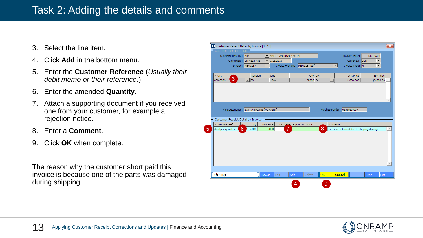#### Task 2: Adding the details and comments

- 3. Select the line item.
- 4. Click **Add** in the bottom menu.
- 5. Enter the **Customer Reference** (*Usually their debit memo or their reference.*)
- 6. Enter the amended **Quantity**.
- 7. Attach a supporting document if you received one from your customer, for example a rejection notice.
- 8. Enter a **Comment**.
- 9. Click **OK** when complete.

The reason why the customer short paid this invoice is because one of the parts was damaged during shipping.

|   | Customer Receipt Detail by Invoice [S1810] |                                              |                         |                               |          |                                            |                  | $\overline{\mathbf{x}}$ |
|---|--------------------------------------------|----------------------------------------------|-------------------------|-------------------------------|----------|--------------------------------------------|------------------|-------------------------|
|   | Customer Receipt Detail                    |                                              |                         |                               |          |                                            |                  |                         |
|   | Customer (Inv To): AIM                     |                                              | MERICAN IRON & METAL    |                               |          | Invoice Value:                             | \$3,019.04       |                         |
|   |                                            | CR Number: UN-4514-456                       | $\frac{1}{2}$ 9/15/2016 |                               |          | Currency: CDN                              | ≛                |                         |
|   |                                            | $\vert \mathbf{v} \vert$<br>Invoice: MEM1157 |                         | Invoice Filename: MEM1157.pdf |          | $\overline{\mathbb{E}}$<br>Invoice Type: M | $\blacksquare$   |                         |
|   |                                            |                                              |                         |                               |          |                                            |                  |                         |
|   | $\neg$ Part                                | Revision                                     | Line                    | Qty UM                        |          | Unit Price                                 | <b>Ext Price</b> |                         |
|   | 3<br>1000-0006                             | $\overline{\phantom{0}}$ 00                  | 1644                    | 3.000 EA                      | न        | 1,000.000                                  | \$3,000.00       |                         |
|   |                                            |                                              |                         |                               |          |                                            |                  |                         |
|   |                                            |                                              |                         |                               |          |                                            |                  |                         |
|   |                                            |                                              |                         |                               |          |                                            |                  |                         |
|   |                                            |                                              |                         |                               |          |                                            |                  |                         |
|   |                                            |                                              |                         |                               |          |                                            |                  |                         |
|   |                                            | Part Description: BOTTOM PLATE (NO PAINT)    |                         |                               |          | Purchase Order: 6859860-007                |                  |                         |
|   |                                            |                                              |                         |                               |          |                                            |                  |                         |
|   | Customer Receipt Detail by Invoice         |                                              |                         |                               |          |                                            |                  |                         |
|   | Customer Ref                               | Qty<br>Unit Price                            |                         | Ext Value Supporting DOCs     | Comments |                                            |                  |                         |
| 5 | 6<br>shortpaidquantity                     | 2,000                                        | 7<br>0.000              |                               | 8        | one piece returned due to shipping damage. |                  |                         |
|   |                                            |                                              |                         |                               |          |                                            |                  |                         |
|   |                                            |                                              |                         |                               |          |                                            |                  |                         |
|   |                                            |                                              |                         |                               |          |                                            |                  |                         |
|   |                                            |                                              |                         |                               |          |                                            |                  |                         |
|   |                                            |                                              |                         |                               |          |                                            |                  |                         |
|   |                                            |                                              |                         |                               |          |                                            |                  |                         |
|   |                                            |                                              |                         |                               |          |                                            |                  |                         |
|   |                                            |                                              |                         |                               |          |                                            |                  |                         |
|   |                                            |                                              |                         |                               |          |                                            |                  |                         |
|   | Fi for Help                                | <b>Browse</b>                                | Edit                    | Add<br>Delete                 | OK       | <b>Cancel</b>                              | Exit<br>Print    |                         |
|   |                                            |                                              |                         |                               |          |                                            |                  |                         |
|   |                                            |                                              |                         | 4                             | 9        |                                            |                  |                         |

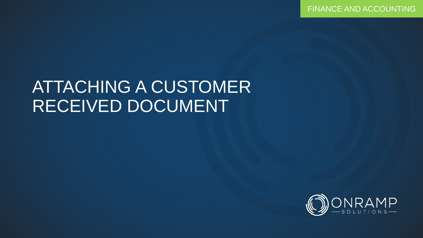FINANCE AND ACCOUNTING

## ATTACHING A CUSTOMER RECEIVED DOCUMENT

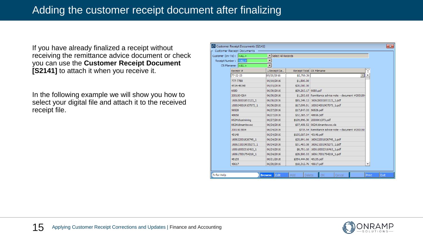If you have already finalized a receipt without receiving the remittance advice document or check you can use the **Customer Receipt Document [S2141]** to attach it when you receive it.

In the following example we will show you how to select your digital file and attach it to the received receipt file.

|                                         | Customer Receipt Documents [S2141] |                          |                           |                                                      | $\mathbf{x}$  |
|-----------------------------------------|------------------------------------|--------------------------|---------------------------|------------------------------------------------------|---------------|
|                                         | - Customer Receipt Documents       |                          |                           |                                                      |               |
| Customer (Inv To) : $\vert$ <all></all> |                                    | ▼ Select All Records     |                           |                                                      |               |
|                                         | Receipt Number: <all></all>        | $\blacktriangledown$     |                           |                                                      |               |
|                                         | CR Filename: <all></all>           | $\overline{\phantom{0}}$ |                           |                                                      |               |
|                                         | Receipt #                          | -Receipt Da              | Receipt Total CR Filename |                                                      |               |
|                                         | 77-22-25                           | 09/20/2016               | \$2,760.36                |                                                      |               |
|                                         | 777-7788                           | 09/19/2016               | \$1,500.00                |                                                      |               |
|                                         | 4514-46348                         | 09/15/2016               | \$20,000.00               |                                                      |               |
|                                         | 6680                               | 06/30/2016               | \$29,263.17 6680.pdf      |                                                      |               |
|                                         | 2001504264                         | 06/30/2016               |                           | \$1,203.65 Remittance advice note - document #200150 |               |
|                                         | 160628001851123 1                  | 06/30/2016               |                           | \$85,349,13   160628001851123 1.pdf                  |               |
|                                         | 1606240019107073 1                 | 06/30/2016               |                           | \$17,699.81   160624001907073 1.pdf                  |               |
|                                         | 56528                              | 06/27/2016               | \$17,847.33 56528.pdf     |                                                      |               |
|                                         | 48658                              | 06/27/2016               | \$32,385.37 48658.pdf     |                                                      |               |
|                                         | 062416catmining                    | 06/27/2016               |                           | \$109,996.30 2000061373.pdf                          |               |
|                                         | 062416manitowoc                    | 06/24/2016               |                           | \$37,459.52 062416manitowoc.xls                      |               |
|                                         | 2001501904                         | 06/24/2016               |                           | \$735.54 Remittance advice note - document #200150)  |               |
|                                         | 48148                              | 06/24/2016               | \$105,687,84 48148.pdf    |                                                      |               |
|                                         | 160622001826745 1                  | 06/24/2016               |                           | \$25,991.66   160622001826745 1.pdf                  |               |
|                                         | 1606210019055273 1                 | 06/24/2016               |                           | \$31,403.08 160621001905273 1.pdf                    |               |
|                                         | 160618002316463 1                  | 06/24/2016               |                           | \$8,701.10 160618002316463 1.pdf                     |               |
|                                         | 160617001754219 1                  | 06/24/2016               |                           | \$29,500.03 160617001754219 1.pdf                    |               |
|                                         | 48135                              | 06/21/2016               | \$354,444.80 48135.pdf    |                                                      |               |
|                                         | 48617                              | 06/20/2016               | \$18,312.76 48617.pdf     |                                                      | ▼             |
|                                         |                                    |                          |                           |                                                      |               |
| F1 for Help                             |                                    | Edit<br><b>Browse</b>    | Add<br>Delete             | OK<br>Cancel                                         | Exit<br>Print |

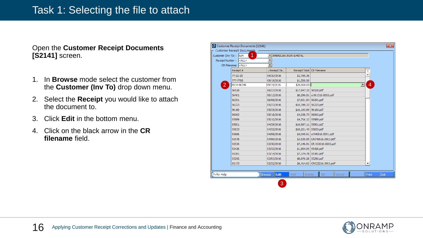#### Task 1: Selecting the file to attach

Open the **Customer Receipt Documents [S2141]** screen.

- 1. In **Browse** mode select the customer from the **Customer (Inv To)** drop down menu.
- 2. Select the **Receipt** you would like to attach the document to.
- 3. Click **Edit** in the bottom menu.
- 4. Click on the black arrow in the **CR filename** field.

| Customer (Inv To) : AIM | <b>Customer Receipt Documents</b><br>1 | ▾∣                       | AMERICAN IRON & METAL |                               |                          |
|-------------------------|----------------------------------------|--------------------------|-----------------------|-------------------------------|--------------------------|
|                         | Receipt Number: <all></all>            | $\overline{\phantom{a}}$ |                       |                               |                          |
|                         | CR Filename: <all></all>               | ∓                        |                       |                               |                          |
|                         | Receipt #                              | -Receipt Da              | Receipt Total         | <b>CR Filename</b>            | Y                        |
|                         | $77 - 22 - 25$                         | 09/20/2016               | \$2,760.36            |                               |                          |
|                         | 777-7788                               | 09/19/2016               | \$1,500.00            |                               |                          |
| $\overline{2}$          | 4514-46348                             | 09/15/2016               | \$20,000.00           |                               | 4<br>ᆋ                   |
|                         | 56528                                  | 06/27/2016               | \$17,847.33 56528.pdf |                               |                          |
|                         | 56401                                  | 06/13/2016               |                       | \$8,296.81 cr061316.0003.pdf  |                          |
|                         | 56291                                  | 06/08/2016               | \$7,651.54 56291.pdf  |                               |                          |
|                         | 56223                                  | 05/27/2016               | \$10,349.23 56223.pdf |                               |                          |
|                         | 56160                                  | 05/25/2016               | \$16,193.69 56160.pdf |                               |                          |
|                         | 56063                                  | 05/18/2016               | \$4,038.73 56063.pdf  |                               |                          |
|                         | 55989                                  | 05/10/2016               | \$4,716.12 55989.pdf  |                               |                          |
|                         | 55901                                  | 04/29/2016               | \$16,687.11 55901.pdf |                               |                          |
|                         | 55833                                  | 04/22/2016               | \$18,221.43 55833.pdf |                               |                          |
|                         | 55666                                  | 04/08/2016               |                       | \$4,045.61 cr040816.0001.pdf  |                          |
|                         | 55578                                  | 04/06/2016               |                       | \$3,530.89 CR040616.0003.pdf  |                          |
|                         | 55536                                  | 03/30/2016               |                       | \$7,146.91 CR 033016.0003.pdf |                          |
|                         | 55426                                  | 03/23/2016               | \$1,954.95 55426.pdf  |                               |                          |
|                         | 55381                                  | 03/14/2016               | \$7,174.78 55381.pdf  |                               |                          |
|                         | 55292                                  | 03/03/2016               | \$8,876.28 55292.pdf  |                               |                          |
|                         | 55173                                  | 02/22/2016               |                       | \$6,414.62 CR022216.0001.pdf  | $\overline{\phantom{a}}$ |
|                         |                                        |                          |                       |                               |                          |
| Fi for Help             |                                        | Edit<br><b>Browse</b>    | Add<br>Delete         | <b>OK</b><br>Cancel           | Exit<br>Print            |